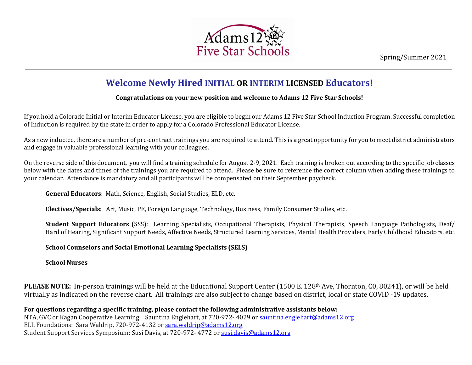Spring/Summer 2021



## **Welcome Newly Hired INITIAL OR INTERIM LICENSED Educators!** c

## **Congratulations on your new position and welcome to Adams 12 Five Star Schools!** t i

If you hold a Colorado Initial or Interim Educator License, you are eligible to begin our Adams 12 Five Star School Induction Program. Successful completion n of Induction is required by the state in order to apply for a Colorado Professional Educator License. a l

As a new inductee, there are a number of pre-contract trainings you are required to attend. This is a great opportunity for you to meet district administrators S and engage in valuable professional learning with your colleagues. p

On the reverse side of this document, you will find a training schedule for August 2-9, 2021. Each training is broken out according to the specific job classes below with the dates and times of the trainings you are required to attend. Please be sure to reference the correct column when adding these trainings to r your calendar. Attendance is mandatory and all participants will be compensated on their September paycheck. t p  $\mathbf{I}$ 

General Educators: Math, Science, English, Social Studies, ELD, etc.

d

**Electives/Specials:** Art, Music, PE, Foreign Language, Technology, Business, Family Consumer Studies, etc. t e

**Student Support Educators** (SSS): Learning Specialists, Occupational Therapists, Physical Therapists, Speech Language Pathologists, Deaf/ Hard of Hearing, Significant Support Needs, Affective Needs, Structured Learning Services, Mental Health Providers, Early Childhood Educators, etc. *n I*

**School Counselors and Social Emotional Learning Specialists (SELS)** *u*

**School Nurses**

**PLEASE NOTE:** In-person trainings will be held at the Educational Support Center (1500 E. 128th Ave, Thornton, C0, 80241), or will be held *n*  virtually as indicated on the reverse chart. All trainings are also subject to change based on district, local or state COVID -19 updates. *r*  $\mathbf{P}$ 

**For questions regarding a specific training, please contact the following administrative assistants below:**  *g* NTA, GVC or Kagan Cooperative Learning: Sauntina Englehart, at 720-972- 4029 o[r sauntina.englehart@adams12.org](mailto:sauntina.englehart@adams12.org) *r* ELL Foundations: Sara Waldrip, 720-972-4132 or [sara.waldrip@adams12.org](mailto:sara.waldrip@adams12.org) *a* Student Support Services Symposium: Susi Davis, at 720-972- 4772 or [susi.davis@adams12.org](mailto:susi.davis@adams12.org) *m*  $\overline{a}$